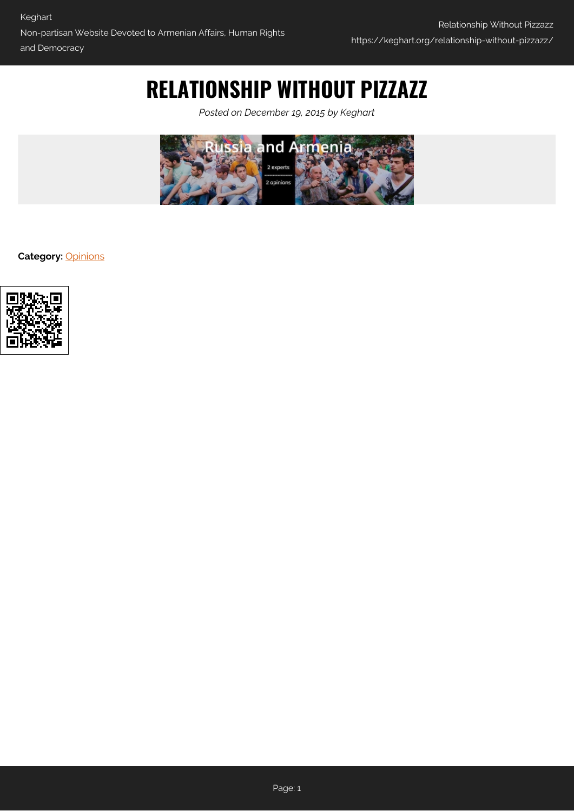# **RELATIONSHIP WITHOUT PIZZAZZ**

*Posted on December 19, 2015 by Keghart*



**Category:** [Opinions](https://keghart.org/category/opinions/)

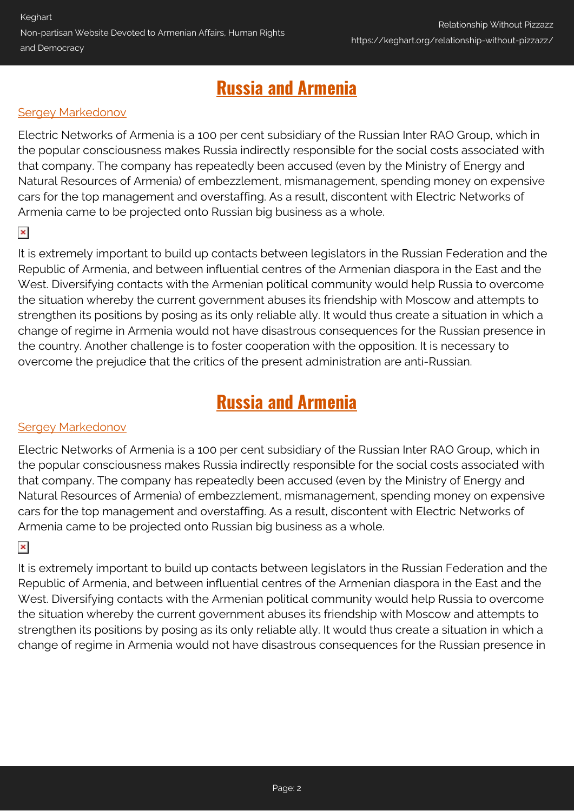## **[Russia and Armenia](http://russiancouncil.ru/en/armeniadebate)**

### [Sergey Markedonov](#page-3-0)

Electric Networks of Armenia is a 100 per cent subsidiary of the Russian Inter RAO Group, which in the popular consciousness makes Russia indirectly responsible for the social costs associated with that company. The company has repeatedly been accused (even by the Ministry of Energy and Natural Resources of Armenia) of embezzlement, mismanagement, spending money on expensive cars for the top management and overstaffing. As a result, discontent with Electric Networks of Armenia came to be projected onto Russian big business as a whole.

### $\pmb{\times}$

It is extremely important to build up contacts between legislators in the Russian Federation and the Republic of Armenia, and between influential centres of the Armenian diaspora in the East and the West. Diversifying contacts with the Armenian political community would help Russia to overcome the situation whereby the current government abuses its friendship with Moscow and attempts to strengthen its positions by posing as its only reliable ally. It would thus create a situation in which a change of regime in Armenia would not have disastrous consequences for the Russian presence in the country. Another challenge is to foster cooperation with the opposition. It is necessary to overcome the prejudice that the critics of the present administration are anti-Russian.

### **[Russia and Armenia](http://russiancouncil.ru/en/armeniadebate)**

### **[Sergey Markedonov](#page-3-0)**

Electric Networks of Armenia is a 100 per cent subsidiary of the Russian Inter RAO Group, which in the popular consciousness makes Russia indirectly responsible for the social costs associated with that company. The company has repeatedly been accused (even by the Ministry of Energy and Natural Resources of Armenia) of embezzlement, mismanagement, spending money on expensive cars for the top management and overstaffing. As a result, discontent with Electric Networks of Armenia came to be projected onto Russian big business as a whole.

### $\pmb{\times}$

It is extremely important to build up contacts between legislators in the Russian Federation and the Republic of Armenia, and between influential centres of the Armenian diaspora in the East and the West. Diversifying contacts with the Armenian political community would help Russia to overcome the situation whereby the current government abuses its friendship with Moscow and attempts to strengthen its positions by posing as its only reliable ally. It would thus create a situation in which a change of regime in Armenia would not have disastrous consequences for the Russian presence in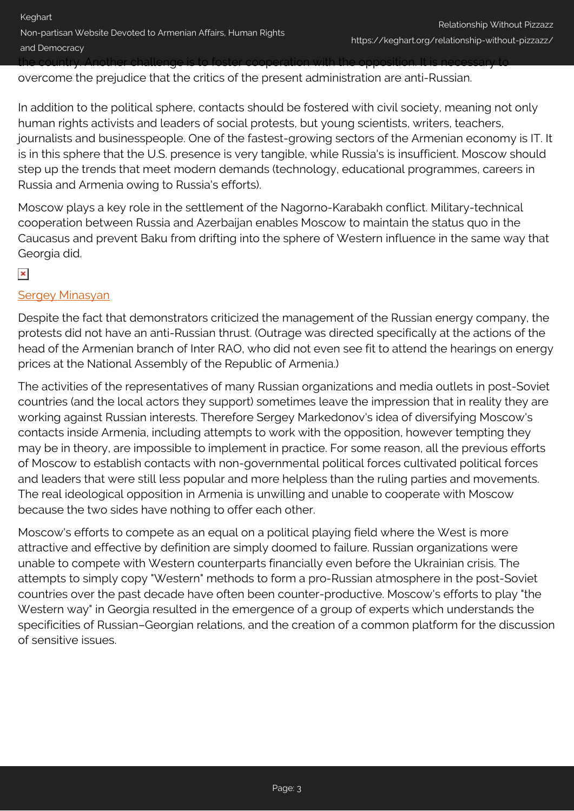overcome the prejudice that the critics of the present administration are anti-Russian.

In addition to the political sphere, contacts should be fostered with civil society, meaning not only human rights activists and leaders of social protests, but young scientists, writers, teachers, journalists and businesspeople. One of the fastest-growing sectors of the Armenian economy is IT. It is in this sphere that the U.S. presence is very tangible, while Russia's is insufficient. Moscow should step up the trends that meet modern demands (technology, educational programmes, careers in Russia and Armenia owing to Russia's efforts).

Moscow plays a key role in the settlement of the Nagorno-Karabakh conflict. Military-technical cooperation between Russia and Azerbaijan enables Moscow to maintain the status quo in the Caucasus and prevent Baku from drifting into the sphere of Western influence in the same way that Georgia did.

### $\pmb{\times}$

### [Sergey Minasyan](#page-3-1)

Despite the fact that demonstrators criticized the management of the Russian energy company, the protests did not have an anti-Russian thrust. (Outrage was directed specifically at the actions of the head of the Armenian branch of Inter RAO, who did not even see fit to attend the hearings on energy prices at the National Assembly of the Republic of Armenia.)

The activities of the representatives of many Russian organizations and media outlets in post-Soviet countries (and the local actors they support) sometimes leave the impression that in reality they are working against Russian interests. Therefore Sergey Markedonov's idea of diversifying Moscow's contacts inside Armenia, including attempts to work with the opposition, however tempting they may be in theory, are impossible to implement in practice. For some reason, all the previous efforts of Moscow to establish contacts with non-governmental political forces cultivated political forces and leaders that were still less popular and more helpless than the ruling parties and movements. The real ideological opposition in Armenia is unwilling and unable to cooperate with Moscow because the two sides have nothing to offer each other.

Moscow's efforts to compete as an equal on a political playing field where the West is more attractive and effective by definition are simply doomed to failure. Russian organizations were unable to compete with Western counterparts financially even before the Ukrainian crisis. The attempts to simply copy "Western" methods to form a pro-Russian atmosphere in the post-Soviet countries over the past decade have often been counter-productive. Moscow's efforts to play "the Western way" in Georgia resulted in the emergence of a group of experts which understands the specificities of Russian–Georgian relations, and the creation of a common platform for the discussion of sensitive issues.